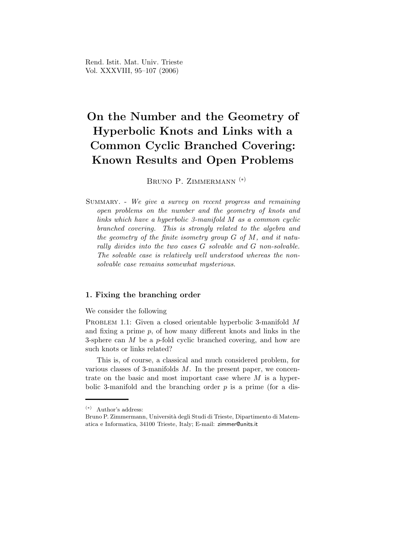# On the Number and the Geometry of Hyperbolic Knots and Links with a Common Cyclic Branched Covering: Known Results and Open Problems

BRUNO P. ZIMMERMANN<sup>(\*)</sup>

SUMMARY. - We give a survey on recent progress and remaining open problems on the number and the geometry of knots and links which have a hyperbolic 3-manifold M as a common cyclic branched covering. This is strongly related to the algebra and the geometry of the finite isometry group  $G$  of  $M$ , and it naturally divides into the two cases G solvable and G non-solvable. The solvable case is relatively well understood whereas the nonsolvable case remains somewhat mysterious.

## 1. Fixing the branching order

We consider the following

PROBLEM 1.1: Given a closed orientable hyperbolic 3-manifold M and fixing a prime  $p$ , of how many different knots and links in the 3-sphere can  $M$  be a p-fold cyclic branched covering, and how are such knots or links related?

This is, of course, a classical and much considered problem, for various classes of 3-manifolds  $M$ . In the present paper, we concentrate on the basic and most important case where  $M$  is a hyperbolic 3-manifold and the branching order  $p$  is a prime (for a dis-

<sup>(</sup>∗) Author's address:

Bruno P. Zimmermann, Università degli Studi di Trieste, Dipartimento di Matematica e Informatica, 34100 Trieste, Italy; E-mail: zimmer@units.it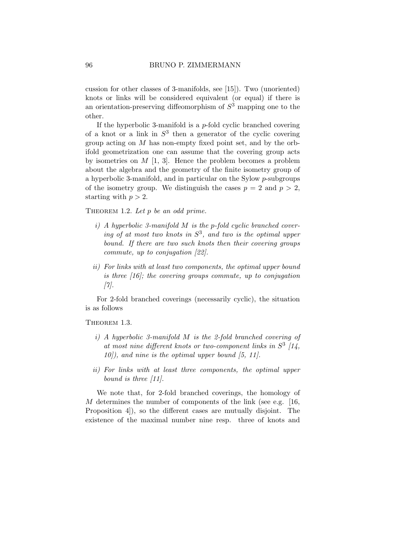cussion for other classes of 3-manifolds, see [15]). Two (unoriented) knots or links will be considered equivalent (or equal) if there is an orientation-preserving diffeomorphism of  $S<sup>3</sup>$  mapping one to the other.

If the hyperbolic 3-manifold is a  $p$ -fold cyclic branched covering of a knot or a link in  $S^3$  then a generator of the cyclic covering group acting on M has non-empty fixed point set, and by the orbifold geometrization one can assume that the covering group acts by isometries on  $M$  [1, 3]. Hence the problem becomes a problem about the algebra and the geometry of the finite isometry group of a hyperbolic 3-manifold, and in particular on the Sylow p-subgroups of the isometry group. We distinguish the cases  $p = 2$  and  $p > 2$ , starting with  $p > 2$ .

THEOREM 1.2. Let  $p$  be an odd prime.

- $i)$  A hyperbolic 3-manifold M is the p-fold cyclic branched covering of at most two knots in  $S^3$ , and two is the optimal upper bound. If there are two such knots then their covering groups commute, up to conjugation [22].
- ii) For links with at least two components, the optimal upper bound is three [16]; the covering groups commute, up to conjugation [7].

For 2-fold branched coverings (necessarily cyclic), the situation is as follows

THEOREM 1.3.

- i) A hyperbolic 3-manifold M is the 2-fold branched covering of at most nine different knots or two-component links in  $S^3$  [14,  $10$ . and nine is the optimal upper bound [5, 11].
- ii) For links with at least three components, the optimal upper bound is three [11].

We note that, for 2-fold branched coverings, the homology of  $M$  determines the number of components of the link (see e.g. [16, Proposition 4]), so the different cases are mutually disjoint. The existence of the maximal number nine resp. three of knots and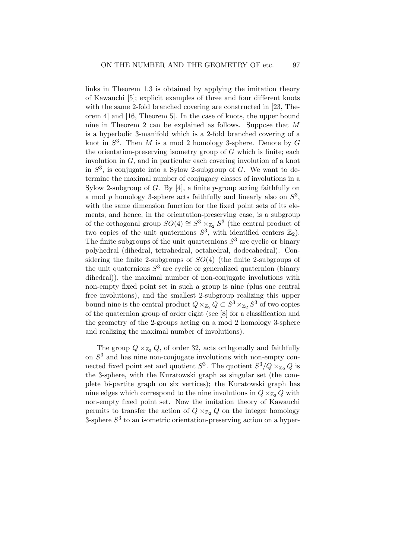links in Theorem 1.3 is obtained by applying the imitation theory of Kawauchi [5]; explicit examples of three and four different knots with the same 2-fold branched covering are constructed in [23, Theorem 4] and [16, Theorem 5]. In the case of knots, the upper bound nine in Theorem 2 can be explained as follows. Suppose that M is a hyperbolic 3-manifold which is a 2-fold branched covering of a knot in  $S^3$ . Then M is a mod 2 homology 3-sphere. Denote by G the orientation-preserving isometry group of  $G$  which is finite; each involution in G, and in particular each covering involution of a knot in  $S^3$ , is conjugate into a Sylow 2-subgroup of G. We want to determine the maximal number of conjugacy classes of involutions in a Sylow 2-subgroup of  $G$ . By [4], a finite  $p$ -group acting faithfully on a mod  $p$  homology 3-sphere acts faithfully and linearly also on  $S^3$ , with the same dimension function for the fixed point sets of its elements, and hence, in the orientation-preserving case, is a subgroup of the orthogonal group  $SO(4) \cong S^3 \times_{\mathbb{Z}_2} S^3$  (the central product of two copies of the unit quaternions  $S^3$ , with identified centers  $\mathbb{Z}_2$ ). The finite subgroups of the unit quarternions  $S^3$  are cyclic or binary polyhedral (dihedral, tetrahedral, octahedral, dodecahedral). Considering the finite 2-subgroups of  $SO(4)$  (the finite 2-subgroups of the unit quaternions  $S^3$  are cyclic or generalized quaternion (binary dihedral)), the maximal number of non-conjugate involutions with non-empty fixed point set in such a group is nine (plus one central free involutions), and the smallest 2-subgroup realizing this upper bound nine is the central product  $Q \times_{\mathbb{Z}_2} Q \subset S^3 \times_{\mathbb{Z}_2} S^3$  of two copies of the quaternion group of order eight (see [8] for a classification and the geometry of the 2-groups acting on a mod 2 homology 3-sphere and realizing the maximal number of involutions).

The group  $Q \times_{\mathbb{Z}_2} Q$ , of order 32, acts orthgonally and faithfully on  $S<sup>3</sup>$  and has nine non-conjugate involutions with non-empty connected fixed point set and quotient  $S^3$ . The quotient  $S^3/Q \times_{\mathbb{Z}_2} Q$  is the 3-sphere, with the Kuratowski graph as singular set (the complete bi-partite graph on six vertices); the Kuratowski graph has nine edges which correspond to the nine involutions in  $Q \times_{\mathbb{Z}_2} Q$  with non-empty fixed point set. Now the imitation theory of Kawauchi permits to transfer the action of  $Q \times_{\mathbb{Z}_2} Q$  on the integer homology 3-sphere  $S<sup>3</sup>$  to an isometric orientation-preserving action on a hyper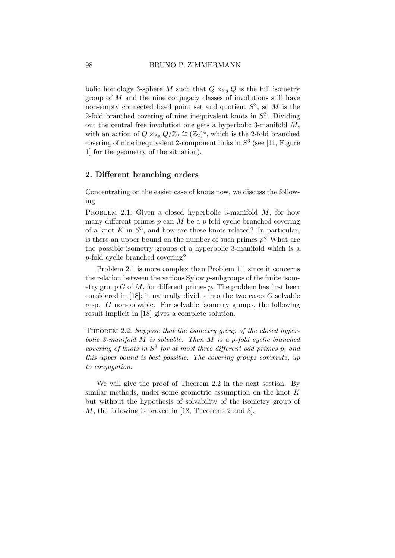bolic homology 3-sphere M such that  $Q \times_{\mathbb{Z}_2} Q$  is the full isometry group of  $M$  and the nine conjugacy classes of involutions still have non-empty connected fixed point set and quotient  $S^3$ , so M is the 2-fold branched covering of nine inequivalent knots in  $S<sup>3</sup>$ . Dividing out the central free involution one gets a hyperbolic 3-manifold  $\overline{M}$ , with an action of  $Q \times_{\mathbb{Z}_2} Q/\mathbb{Z}_2 \cong (\mathbb{Z}_2)^4$ , which is the 2-fold branched covering of nine inequivalent 2-component links in  $S<sup>3</sup>$  (see [11, Figure 1] for the geometry of the situation).

#### 2. Different branching orders

Concentrating on the easier case of knots now, we discuss the following

PROBLEM 2.1: Given a closed hyperbolic 3-manifold  $M$ , for how many different primes  $p$  can  $M$  be a  $p$ -fold cyclic branched covering of a knot K in  $S^3$ , and how are these knots related? In particular, is there an upper bound on the number of such primes  $p$ ? What are the possible isometry groups of a hyperbolic 3-manifold which is a p-fold cyclic branched covering?

Problem 2.1 is more complex than Problem 1.1 since it concerns the relation between the various Sylow p-subgroups of the finite isometry group  $G$  of  $M$ , for different primes  $p$ . The problem has first been considered in  $[18]$ ; it naturally divides into the two cases  $G$  solvable resp. G non-solvable. For solvable isometry groups, the following result implicit in [18] gives a complete solution.

THEOREM 2.2. Suppose that the isometry group of the closed hyperbolic 3-manifold  $M$  is solvable. Then  $M$  is a p-fold cyclic branched covering of knots in  $S^3$  for at most three different odd primes p, and this upper bound is best possible. The covering groups commute, up to conjugation.

We will give the proof of Theorem 2.2 in the next section. By similar methods, under some geometric assumption on the knot  $K$ but without the hypothesis of solvability of the isometry group of M, the following is proved in [18, Theorems 2 and 3].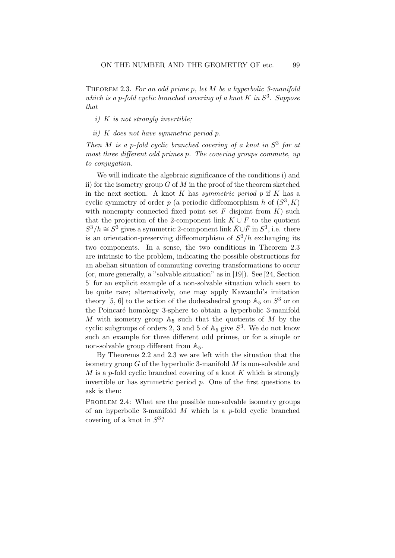THEOREM 2.3. For an odd prime p, let  $M$  be a hyperbolic 3-manifold which is a p-fold cyclic branched covering of a knot  $K$  in  $S^3$ . Suppose that

- $i)$  K is not strongly invertible;
- ii) K does not have symmetric period p.

Then M is a p-fold cyclic branched covering of a knot in  $S<sup>3</sup>$  for at most three different odd primes p. The covering groups commute, up to conjugation.

We will indicate the algebraic significance of the conditions i) and ii) for the isometry group  $G$  of  $M$  in the proof of the theorem sketched in the next section. A knot  $K$  has symmetric period  $p$  if  $K$  has a cyclic symmetry of order  $p$  (a periodic diffeomorphism h of  $(S^3, K)$ ) with nonempty connected fixed point set  $F$  disjoint from  $K$ ) such that the projection of the 2-component link  $K \cup F$  to the quotient  $S^3/h \cong S^3$  gives a symmetric 2-component link  $\bar{K} \cup \bar{F}$  in  $S^3$ , i.e. there is an orientation-preserving diffeomorphism of  $S^3/h$  exchanging its two components. In a sense, the two conditions in Theorem 2.3 are intrinsic to the problem, indicating the possible obstructions for an abelian situation of commuting covering transformations to occur (or, more generally, a "solvable situation" as in [19]). See [24, Section 5] for an explicit example of a non-solvable situation which seem to be quite rare; alternatively, one may apply Kawauchi's imitation theory [5, 6] to the action of the dodecahedral group  $\mathbb{A}_5$  on  $S^3$  or on the Poincaré homology 3-sphere to obtain a hyperbolic 3-manifold M with isometry group  $A_5$  such that the quotients of M by the cyclic subgroups of orders 2, 3 and 5 of  $\mathbb{A}_5$  give  $S^3$ . We do not know such an example for three different odd primes, or for a simple or non-solvable group different from  $\mathbb{A}_5$ .

By Theorems 2.2 and 2.3 we are left with the situation that the isometry group  $G$  of the hyperbolic 3-manifold  $M$  is non-solvable and  $M$  is a p-fold cyclic branched covering of a knot  $K$  which is strongly invertible or has symmetric period  $p$ . One of the first questions to ask is then:

PROBLEM 2.4: What are the possible non-solvable isometry groups of an hyperbolic 3-manifold  $M$  which is a p-fold cyclic branched covering of a knot in  $S^3$ ?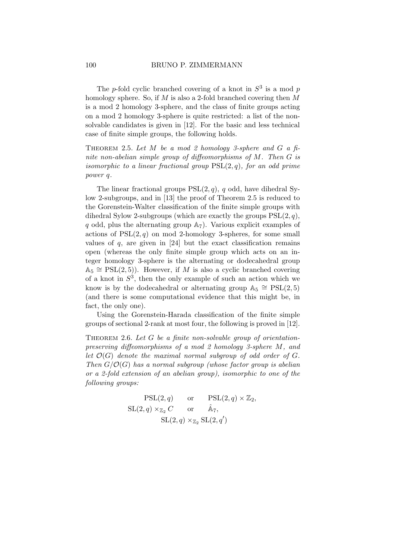The p-fold cyclic branched covering of a knot in  $S^3$  is a mod p homology sphere. So, if  $M$  is also a 2-fold branched covering then  $M$ is a mod 2 homology 3-sphere, and the class of finite groups acting on a mod 2 homology 3-sphere is quite restricted: a list of the nonsolvable candidates is given in [12]. For the basic and less technical case of finite simple groups, the following holds.

THEOREM 2.5. Let  $M$  be a mod 2 homology 3-sphere and  $G$  a finite non-abelian simple group of diffeomorphisms of  $M$ . Then  $G$  is isomorphic to a linear fractional group  $PSL(2, q)$ , for an odd prime power q.

The linear fractional groups  $PSL(2, q)$ , q odd, have dihedral Sylow 2-subgroups, and in [13] the proof of Theorem 2.5 is reduced to the Gorenstein-Walter classification of the finite simple groups with dihedral Sylow 2-subgroups (which are exactly the groups  $PSL(2, q)$ , q odd, plus the alternating group  $\mathbb{A}_7$ ). Various explicit examples of actions of  $PSL(2, q)$  on mod 2-homology 3-spheres, for some small values of  $q$ , are given in [24] but the exact classification remains open (whereas the only finite simple group which acts on an integer homology 3-sphere is the alternating or dodecahedral group  $\mathbb{A}_5 \cong \mathrm{PSL}(2, 5)$ . However, if M is also a cyclic branched covering of a knot in  $S^3$ , then the only example of such an action which we know is by the dodecahedral or alternating group  $\mathbb{A}_5 \cong \mathrm{PSL}(2,5)$ (and there is some computational evidence that this might be, in fact, the only one).

Using the Gorenstein-Harada classification of the finite simple groups of sectional 2-rank at most four, the following is proved in [12].

THEOREM 2.6. Let  $G$  be a finite non-solvable group of orientationpreserving diffeomorphisms of a mod 2 homology 3-sphere M, and let  $\mathcal{O}(G)$  denote the maximal normal subgroup of odd order of G. Then  $G/\mathcal{O}(G)$  has a normal subgroup (whose factor group is abelian or a 2-fold extension of an abelian group), isomorphic to one of the following groups:

$$
\begin{aligned}\n\operatorname{PSL}(2, q) & \text{or} & \operatorname{PSL}(2, q) \times \mathbb{Z}_2, \\
\operatorname{SL}(2, q) \times_{\mathbb{Z}_2} C & \text{or} & \hat{\mathbb{A}}_7, \\
& \operatorname{SL}(2, q) \times_{\mathbb{Z}_2} \operatorname{SL}(2, q')\n\end{aligned}
$$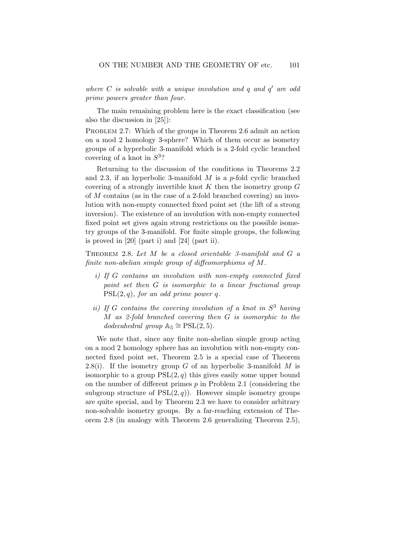where  $C$  is solvable with a unique involution and  $q$  and  $q'$  are odd prime powers greater than four.

The main remaining problem here is the exact classification (see also the discussion in [25]):

PROBLEM 2.7: Which of the groups in Theorem 2.6 admit an action on a mod 2 homology 3-sphere? Which of them occur as isometry groups of a hyperbolic 3-manifold which is a 2-fold cyclic branched covering of a knot in  $S^3$ ?

Returning to the discussion of the conditions in Theorems 2.2 and 2.3, if an hyperbolic 3-manifold  $M$  is a p-fold cyclic branched covering of a strongly invertible knot  $K$  then the isometry group  $G$ of M contains (as in the case of a 2-fold branched covering) an involution with non-empty connected fixed point set (the lift of a strong inversion). The existence of an involution with non-empty connected fixed point set gives again strong restrictions on the possible isometry groups of the 3-manifold. For finite simple groups, the following is proved in [20] (part i) and [24] (part ii).

THEOREM 2.8. Let M be a closed orientable 3-manifold and G a finite non-abelian simple group of diffeomorphisms of M.

- i) If G contains an involution with non-empty connected fixed point set then G is isomorphic to a linear fractional group  $PSL(2, q)$ , for an odd prime power q.
- ii) If G contains the covering involution of a knot in  $S<sup>3</sup>$  having M as 2-fold branched covering then G is isomorphic to the dodecahedral group  $\mathbb{A}_5 \cong \mathrm{PSL}(2,5)$ .

We note that, since any finite non-abelian simple group acting on a mod 2 homology sphere has an involution with non-empty connected fixed point set, Theorem 2.5 is a special case of Theorem 2.8(i). If the isometry group G of an hyperbolic 3-manifold M is isomorphic to a group  $PSL(2, q)$  this gives easily some upper bound on the number of different primes  $p$  in Problem 2.1 (considering the subgroup structure of  $PSL(2,q)$ . However simple isometry groups are quite special, and by Theorem 2.3 we have to consider arbitrary non-solvable isometry groups. By a far-reaching extension of Theorem 2.8 (in analogy with Theorem 2.6 generalizing Theorem 2.5),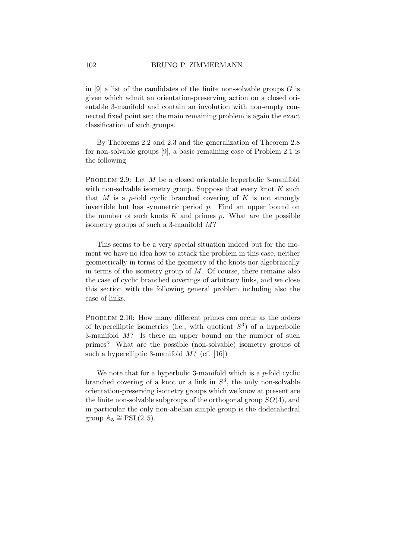in [9] a list of the candidates of the finite non-solvable groups  $G$  is given which admit an orientation-preserving action on a closed orientable 3-manifold and contain an involution with non-empty connected fixed point set; the main remaining problem is again the exact classification of such groups.

By Theorems 2.2 and 2.3 and the generalization of Theorem 2.8 for non-solvable groups [9], a basic remaining case of Problem 2.1 is the following

PROBLEM 2.9: Let  $M$  be a closed orientable hyperbolic 3-manifold with non-solvable isometry group. Suppose that every knot  $K$  such that M is a p-fold cyclic branched covering of K is not strongly invertible but has symmetric period  $p$ . Find an upper bound on the number of such knots  $K$  and primes  $p$ . What are the possible isometry groups of such a 3-manifold M?

This seems to be a very special situation indeed but for the moment we have no idea how to attack the problem in this case, neither geometrically in terms of the geometry of the knots nor algebraically in terms of the isometry group of  $M$ . Of course, there remains also the case of cyclic branched coverings of arbitrary links, and we close this section with the following general problem including also the case of links.

PROBLEM 2.10: How many different primes can occur as the orders of hyperelliptic isometries (i.e., with quotient  $S^3$ ) of a hyperbolic 3-manifold M? Is there an upper bound on the number of such primes? What are the possible (non-solvable) isometry groups of such a hyperelliptic 3-manifold  $M$ ? (cf. [16])

We note that for a hyperbolic 3-manifold which is a  $p$ -fold cyclic branched covering of a knot or a link in  $S^3$ , the only non-solvable orientation-preserving isometry groups which we know at present are the finite non-solvable subgroups of the orthogonal group  $SO(4)$ , and in particular the only non-abelian simple group is the dodecahedral group  $\mathbb{A}_5 \cong \mathrm{PSL}(2, 5)$ .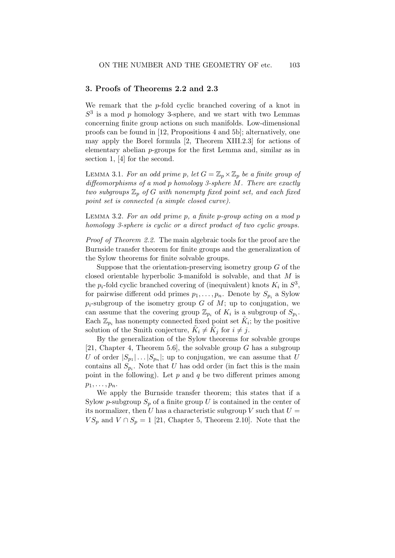### 3. Proofs of Theorems 2.2 and 2.3

We remark that the  $p$ -fold cyclic branched covering of a knot in  $S<sup>3</sup>$  is a mod p homology 3-sphere, and we start with two Lemmas concerning finite group actions on such manifolds. Low-dimensional proofs can be found in [12, Propositions 4 and 5b]; alternatively, one may apply the Borel formula [2, Theorem XIII.2.3] for actions of elementary abelian p-groups for the first Lemma and, similar as in section 1, [4] for the second.

LEMMA 3.1. For an odd prime p, let  $G = \mathbb{Z}_p \times \mathbb{Z}_p$  be a finite group of diffeomorphisms of a mod p homology 3-sphere M. There are exactly two subgroups  $\mathbb{Z}_p$  of G with nonempty fixed point set, and each fixed point set is connected (a simple closed curve).

LEMMA 3.2. For an odd prime  $p$ , a finite  $p$ -group acting on a mod  $p$ homology 3-sphere is cyclic or a direct product of two cyclic groups.

Proof of Theorem 2.2. The main algebraic tools for the proof are the Burnside transfer theorem for finite groups and the generalization of the Sylow theorems for finite solvable groups.

Suppose that the orientation-preserving isometry group  $G$  of the closed orientable hyperbolic 3-manifold is solvable, and that M is the  $p_i$ -fold cyclic branched covering of (inequivalent) knots  $K_i$  in  $S^3$ , for pairwise different odd primes  $p_1, \ldots, p_n$ . Denote by  $S_{p_i}$  a Sylow  $p_i$ -subgroup of the isometry group G of M; up to conjugation, we can assume that the covering group  $\mathbb{Z}_{p_i}$  of  $K_i$  is a subgroup of  $S_{p_i}$ . Each  $\mathbb{Z}_{p_i}$  has nonempty connected fixed point set  $\tilde{K}_i$ ; by the positive solution of the Smith conjecture,  $\tilde{K}_i \neq \tilde{K}_j$  for  $i \neq j$ .

By the generalization of the Sylow theorems for solvable groups [21, Chapter 4, Theorem 5.6], the solvable group  $G$  has a subgroup U of order  $|S_{p_1}| \dots |S_{p_n}|$ ; up to conjugation, we can assume that U contains all  $S_{p_i}$ . Note that U has odd order (in fact this is the main point in the following). Let  $p$  and  $q$  be two different primes among  $p_1, \ldots, p_n$ .

We apply the Burnside transfer theorem; this states that if a Sylow p-subgroup  $S_p$  of a finite group U is contained in the center of its normalizer, then U has a characteristic subgroup V such that  $U =$  $VS_p$  and  $V \cap S_p = 1$  [21, Chapter 5, Theorem 2.10]. Note that the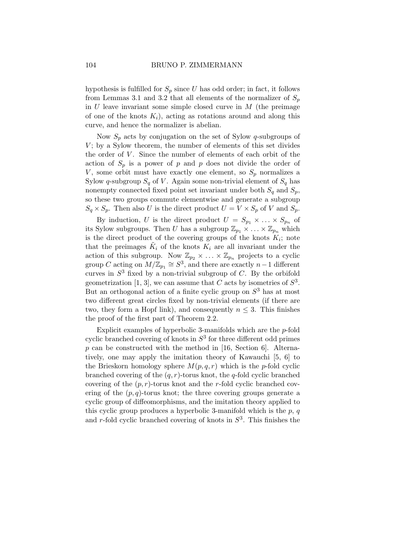hypothesis is fulfilled for  $S_p$  since U has odd order; in fact, it follows from Lemmas 3.1 and 3.2 that all elements of the normalizer of  $S_p$ in  $U$  leave invariant some simple closed curve in  $M$  (the preimage of one of the knots  $K_i$ ), acting as rotations around and along this curve, and hence the normalizer is abelian.

Now  $S_p$  acts by conjugation on the set of Sylow q-subgroups of  $V$ ; by a Sylow theorem, the number of elements of this set divides the order of  $V$ . Since the number of elements of each orbit of the action of  $S_p$  is a power of p and p does not divide the order of  $V$ , some orbit must have exactly one element, so  $S_p$  normalizes a Sylow q-subgroup  $S_q$  of V. Again some non-trivial element of  $S_q$  has nonempty connected fixed point set invariant under both  $S_q$  and  $S_p$ , so these two groups commute elementwise and generate a subgroup  $S_q \times S_p$ . Then also U is the direct product  $U = V \times S_p$  of V and  $S_p$ .

By induction, U is the direct product  $U = S_{p_1} \times \ldots \times S_{p_n}$  of its Sylow subgroups. Then U has a subgroup  $\mathbb{Z}_{p_1} \times \ldots \times \mathbb{Z}_{p_n}$  which is the direct product of the covering groups of the knots  $K_i$ ; note that the preimages  $\tilde{K}_i$  of the knots  $K_i$  are all invariant under the action of this subgroup. Now  $\mathbb{Z}_{p_2} \times ... \times \mathbb{Z}_{p_n}$  projects to a cyclic group C acting on  $M/\mathbb{Z}_{p_1} \cong S^3$ , and there are exactly  $n-1$  different curves in  $S<sup>3</sup>$  fixed by a non-trivial subgroup of C. By the orbifold geometrization [1, 3], we can assume that C acts by isometries of  $S^3$ . But an orthogonal action of a finite cyclic group on  $S<sup>3</sup>$  has at most two different great circles fixed by non-trivial elements (if there are two, they form a Hopf link), and consequently  $n \leq 3$ . This finishes the proof of the first part of Theorem 2.2.

Explicit examples of hyperbolic 3-manifolds which are the p-fold cyclic branched covering of knots in  $S^3$  for three different odd primes  $p$  can be constructed with the method in [16, Section 6]. Alternatively, one may apply the imitation theory of Kawauchi [5, 6] to the Brieskorn homology sphere  $M(p,q,r)$  which is the p-fold cyclic branched covering of the  $(q, r)$ -torus knot, the q-fold cyclic branched covering of the  $(p, r)$ -torus knot and the r-fold cyclic branched covering of the  $(p, q)$ -torus knot; the three covering groups generate a cyclic group of diffeomorphisms, and the imitation theory applied to this cyclic group produces a hyperbolic 3-manifold which is the  $p, q$ and r-fold cyclic branched covering of knots in  $S^3$ . This finishes the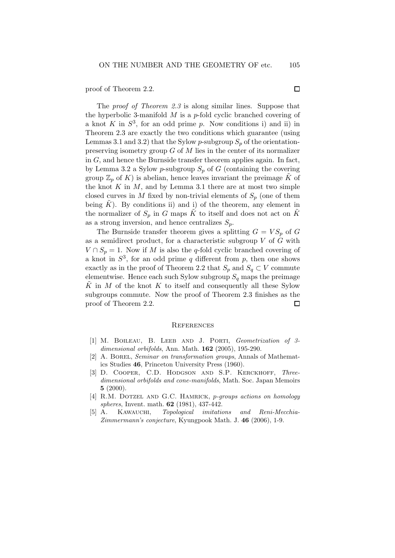proof of Theorem 2.2.

The *proof of Theorem 2.3* is along similar lines. Suppose that the hyperbolic 3-manifold  $M$  is a p-fold cyclic branched covering of a knot  $K$  in  $S^3$ , for an odd prime  $p$ . Now conditions i) and ii) in Theorem 2.3 are exactly the two conditions which guarantee (using Lemmas 3.1 and 3.2) that the Sylow p-subgroup  $S_p$  of the orientationpreserving isometry group  $G$  of  $M$  lies in the center of its normalizer in  $G$ , and hence the Burnside transfer theorem applies again. In fact, by Lemma 3.2 a Sylow p-subgroup  $S_p$  of G (containing the covering group  $\mathbb{Z}_p$  of K) is abelian, hence leaves invariant the preimage  $\tilde{K}$  of the knot  $K$  in  $M$ , and by Lemma 3.1 there are at most two simple closed curves in M fixed by non-trivial elements of  $S_p$  (one of them being  $K$ ). By conditions ii) and i) of the theorem, any element in the normalizer of  $S_p$  in G maps K to itself and does not act on K as a strong inversion, and hence centralizes  $S_p$ .

The Burnside transfer theorem gives a splitting  $G = VS_p$  of G as a semidirect product, for a characteristic subgroup  $V$  of  $G$  with  $V \cap S_n = 1$ . Now if M is also the q-fold cyclic branched covering of a knot in  $S^3$ , for an odd prime q different from p, then one shows exactly as in the proof of Theorem 2.2 that  $S_p$  and  $S_q \subset V$  commute elementwise. Hence each such Sylow subgroup  $S_q$  maps the preimage  $K$  in M of the knot K to itself and consequently all these Sylow subgroups commute. Now the proof of Theorem 2.3 finishes as the proof of Theorem 2.2.  $\Box$ 

#### **REFERENCES**

- [1] M. Boileau, B. Leeb and J. Porti, Geometrization of 3 dimensional orbifolds, Ann. Math. **162** (2005), 195-290.
- A. BOREL, Seminar on transformation groups, Annals of Mathematics Studies 46, Princeton University Press (1960).
- [3] D. COOPER, C.D. HODGSON AND S.P. KERCKHOFF, Threedimensional orbifolds and cone-manifolds, Math. Soc. Japan Memoirs 5 (2000).
- [4] R.M. DOTZEL AND G.C. HAMRICK, *p*-groups actions on homology spheres, Invent. math. **62** (1981), 437-442.
- [5] A. KAWAUCHI, Topological imitations and Reni-Mecchia-Zimmermann's conjecture, Kyungpook Math. J. 46 (2006), 1-9.

 $\Box$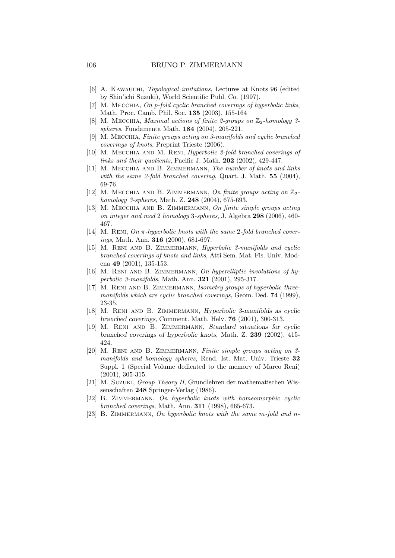- [6] A. Kawauchi, Topological imitations, Lectures at Knots 96 (edited by Shin'ichi Suzuki), World Scientific Publ. Co. (1997).
- [7] M. MECCHIA, On p-fold cyclic branched coverings of hyperbolic links, Math. Proc. Camb. Phil. Soc. 135 (2003), 155-164
- [8] M. MECCHIA, *Maximal actions of finite 2-groups on*  $\mathbb{Z}_2$ -homology 3spheres, Fundamenta Math. 184 (2004), 205-221.
- [9] M. Mecchia, Finite groups acting on 3-manifolds and cyclic branched coverings of knots, Preprint Trieste (2006).
- [10] M. MECCHIA AND M. RENI, *Hyperbolic 2-fold branched coverings of* links and their quotients, Pacific J. Math. 202 (2002), 429-447.
- [11] M. MECCHIA AND B. ZIMMERMANN, The number of knots and links with the same 2-fold branched covering, Quart. J. Math. 55 (2004), 69-76.
- [12] M. MECCHIA AND B. ZIMMERMANN, On finite groups acting on  $\mathbb{Z}_2$ homology 3-spheres, Math. Z. 248 (2004), 675-693.
- [13] M. MECCHIA AND B. ZIMMERMANN, On finite simple groups acting on integer and mod 2 homology 3-spheres, J. Algebra 298 (2006), 460- 467.
- [14] M. RENI,  $On \pi-hyperbolic$  knots with the same 2-fold branched coverings, Math. Ann. 316 (2000), 681-697.
- [15] M. RENI AND B. ZIMMERMANN, *Hyperbolic 3-manifolds and cyclic* branched coverings of knots and links, Atti Sem. Mat. Fis. Univ. Modena 49 (2001), 135-153.
- [16] M. RENI AND B. ZIMMERMANN, On hyperelliptic involutions of hyperbolic 3-manifolds, Math. Ann. 321 (2001), 295-317.
- [17] M. Reni and B. Zimmermann, Isometry groups of hyperbolic threemanifolds which are cyclic branched coverings, Geom. Ded. **74** (1999), 23-35.
- [18] M. RENI AND B. ZIMMERMANN, Hyperbolic 3-manifolds as cyclic branched coverings, Comment. Math. Helv. 76 (2001), 300-313.
- [19] M. RENI AND B. ZIMMERMANN, Standard situations for cyclic branched coverings of hyperbolic knots, Math. Z. 239 (2002), 415- 424.
- [20] M. RENI AND B. ZIMMERMANN, Finite simple groups acting on 3manifolds and homology spheres, Rend. Ist. Mat. Univ. Trieste 32 Suppl. 1 (Special Volume dedicated to the memory of Marco Reni) (2001), 305-315.
- [21] M. Suzuki, Group Theory II, Grundlehren der mathematischen Wissenschaften 248 Springer-Verlag (1986).
- [22] B. ZIMMERMANN, On hyperbolic knots with homeomorphic cyclic branched coverings, Math. Ann. 311 (1998), 665-673.
- [23] B. ZIMMERMANN, On hyperbolic knots with the same m-fold and n-